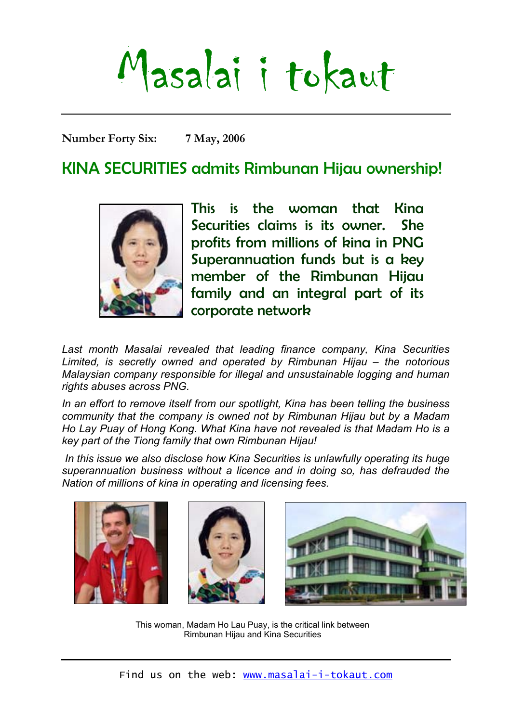# Masalai i tokaut

**Number Forty Six: 7 May, 2006** 

# KINA SECURITIES admits Rimbunan Hijau ownership!



This is the woman that Kina Securities claims is its owner. She profits from millions of kina in PNG Superannuation funds but is a key member of the Rimbunan Hijau family and an integral part of its corporate network

Last month Masalai revealed that leading finance company, Kina Securities *Limited, is secretly owned and operated by Rimbunan Hijau – the notorious Malaysian company responsible for illegal and unsustainable logging and human rights abuses across PNG.* 

*In an effort to remove itself from our spotlight, Kina has been telling the business community that the company is owned not by Rimbunan Hijau but by a Madam Ho Lay Puay of Hong Kong. What Kina have not revealed is that Madam Ho is a key part of the Tiong family that own Rimbunan Hijau!* 

 *In this issue we also disclose how Kina Securities is unlawfully operating its huge superannuation business without a licence and in doing so, has defrauded the Nation of millions of kina in operating and licensing fees.* 







This woman, Madam Ho Lau Puay, is the critical link between Rimbunan Hijau and Kina Securities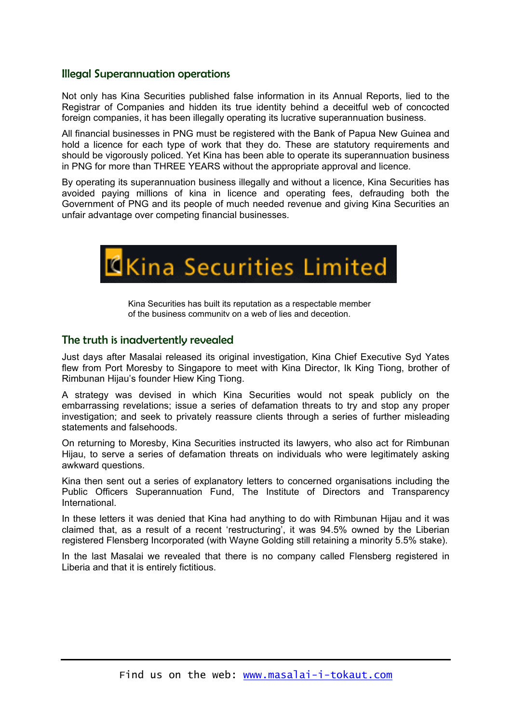## Illegal Superannuation operations

Not only has Kina Securities published false information in its Annual Reports, lied to the Registrar of Companies and hidden its true identity behind a deceitful web of concocted foreign companies, it has been illegally operating its lucrative superannuation business.

All financial businesses in PNG must be registered with the Bank of Papua New Guinea and hold a licence for each type of work that they do. These are statutory requirements and should be vigorously policed. Yet Kina has been able to operate its superannuation business in PNG for more than THREE YEARS without the appropriate approval and licence.

By operating its superannuation business illegally and without a licence, Kina Securities has avoided paying millions of kina in licence and operating fees, defrauding both the Government of PNG and its people of much needed revenue and giving Kina Securities an unfair advantage over competing financial businesses.



Kina Securities has built its reputation as a respectable member of the business community on a web of lies and deception.

## The truth is inadvertently revealed

Just days after Masalai released its original investigation, Kina Chief Executive Syd Yates flew from Port Moresby to Singapore to meet with Kina Director, Ik King Tiong, brother of Rimbunan Hijau's founder Hiew King Tiong.

A strategy was devised in which Kina Securities would not speak publicly on the embarrassing revelations; issue a series of defamation threats to try and stop any proper investigation; and seek to privately reassure clients through a series of further misleading statements and falsehoods.

On returning to Moresby, Kina Securities instructed its lawyers, who also act for Rimbunan Hijau, to serve a series of defamation threats on individuals who were legitimately asking awkward questions.

Kina then sent out a series of explanatory letters to concerned organisations including the Public Officers Superannuation Fund, The Institute of Directors and Transparency International.

In these letters it was denied that Kina had anything to do with Rimbunan Hijau and it was claimed that, as a result of a recent 'restructuring', it was 94.5% owned by the Liberian registered Flensberg Incorporated (with Wayne Golding still retaining a minority 5.5% stake).

In the last Masalai we revealed that there is no company called Flensberg registered in Liberia and that it is entirely fictitious.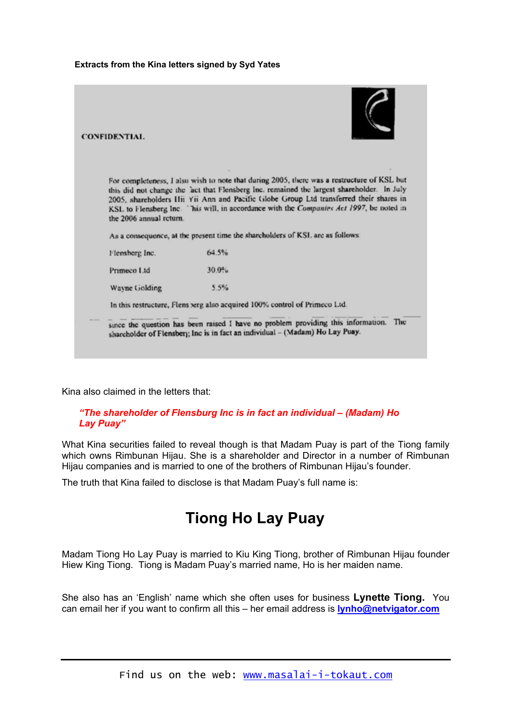#### **Extracts from the Kina letters signed by Syd Yates**

| <b>CONFIDENTIAL</b>                                                        |                                                                                                                                                                                                                                                                                                                                                                                                                                                               |  |
|----------------------------------------------------------------------------|---------------------------------------------------------------------------------------------------------------------------------------------------------------------------------------------------------------------------------------------------------------------------------------------------------------------------------------------------------------------------------------------------------------------------------------------------------------|--|
| the 2006 annual return.                                                    | For completeness, I also wish to note that during 2005, there was a restructure of KSL but<br>this did not change the act that Flensberg Inc. remained the largest shareholder. In July<br>2005, shareholders Hii Yii Ann and Pacific Globe Group Ltd transferred their shares in<br>KSL to Flensberg Inc. This will, in accordance with the Companies Act 1997, be noted in<br>As a consequence, at the present time the shareholders of KSL are as follows. |  |
| Flemsherg Inc.                                                             | 64.5%                                                                                                                                                                                                                                                                                                                                                                                                                                                         |  |
| Primeco Ltd.                                                               | 30.0%                                                                                                                                                                                                                                                                                                                                                                                                                                                         |  |
| Wayne Golding                                                              | 5.5%                                                                                                                                                                                                                                                                                                                                                                                                                                                          |  |
| In this restructure, Flens serg also acquired 100% control of Primeco Ltd. |                                                                                                                                                                                                                                                                                                                                                                                                                                                               |  |
|                                                                            | The<br>since the question has been raised I have no problem providing this information.<br>shareholder of Flensbery; Inc is in fact an individual - (Madam) Ho Lay Puay.                                                                                                                                                                                                                                                                                      |  |

Kina also claimed in the letters that:

#### *"The shareholder of Flensburg Inc is in fact an individual – (Madam) Ho Lay Puay"*

What Kina securities failed to reveal though is that Madam Puay is part of the Tiong family which owns Rimbunan Hijau. She is a shareholder and Director in a number of Rimbunan Hijau companies and is married to one of the brothers of Rimbunan Hijau's founder.

The truth that Kina failed to disclose is that Madam Puay's full name is:

# **Tiong Ho Lay Puay**

Madam Tiong Ho Lay Puay is married to Kiu King Tiong, brother of Rimbunan Hijau founder Hiew King Tiong. Tiong is Madam Puay's married name, Ho is her maiden name.

She also has an 'English' name which she often uses for business **Lynette Tiong.** You can email her if you want to confirm all this – her email address is **[lynho@netvigator.com](mailto:lynho@netvigator.com)**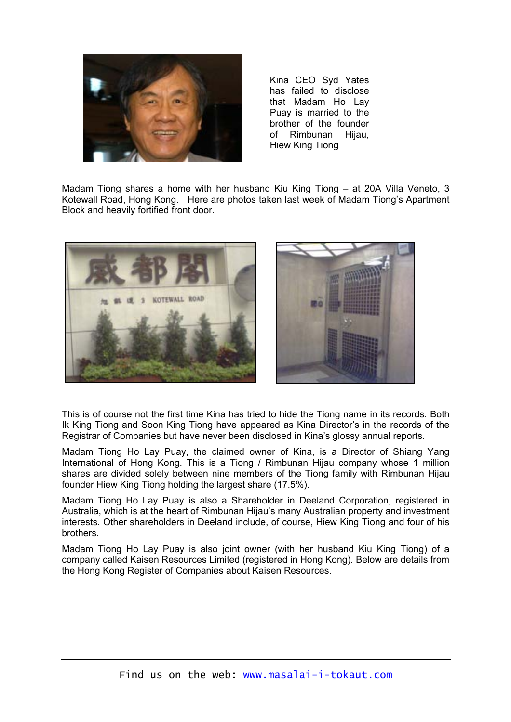

Kina CEO Syd Yates has failed to disclose that Madam Ho Lay Puay is married to the brother of the founder of Rimbunan Hijau, Hiew King Tiong

Madam Tiong shares a home with her husband Kiu King Tiong – at 20A Villa Veneto, 3 Kotewall Road, Hong Kong. Here are photos taken last week of Madam Tiong's Apartment Block and heavily fortified front door.



This is of course not the first time Kina has tried to hide the Tiong name in its records. Both Ik King Tiong and Soon King Tiong have appeared as Kina Director's in the records of the Registrar of Companies but have never been disclosed in Kina's glossy annual reports.

Madam Tiong Ho Lay Puay, the claimed owner of Kina, is a Director of Shiang Yang International of Hong Kong. This is a Tiong / Rimbunan Hijau company whose 1 million shares are divided solely between nine members of the Tiong family with Rimbunan Hijau founder Hiew King Tiong holding the largest share (17.5%).

Madam Tiong Ho Lay Puay is also a Shareholder in Deeland Corporation, registered in Australia, which is at the heart of Rimbunan Hijau's many Australian property and investment interests. Other shareholders in Deeland include, of course, Hiew King Tiong and four of his brothers.

Madam Tiong Ho Lay Puay is also joint owner (with her husband Kiu King Tiong) of a company called Kaisen Resources Limited (registered in Hong Kong). Below are details from the Hong Kong Register of Companies about Kaisen Resources.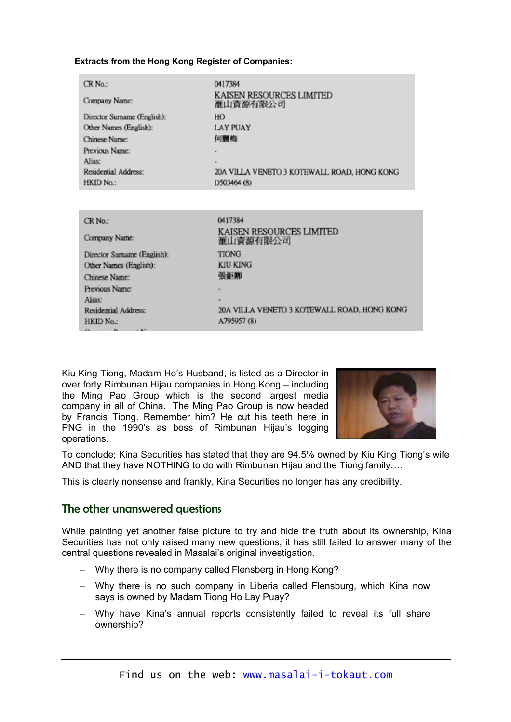#### **Extracts from the Hong Kong Register of Companies:**

| CR No.:                     | 0417384                                            |
|-----------------------------|----------------------------------------------------|
| Company Name:               | <b>KAISEN RESOURCES LIMITED</b><br><b>滙山資源有限公司</b> |
| Director Surname (English): | HO                                                 |
| Other Names (English):      | <b>LAY PUAY</b>                                    |
| Chinese Name:               | 何麗梅                                                |
| Previous Name:              |                                                    |
| Alias:                      |                                                    |
| Residential Address:        | 20A VILLA VENETO 3 KOTEWALL ROAD, HONG KONG        |
| HKID No.:                   | D503464 (8)                                        |
|                             |                                                    |
|                             |                                                    |
| $CR$ No.:                   | 0417384                                            |
| Company Name:               | KAISEN RESOURCES LIMITED<br>滙山資源有限公司               |
| Director Surname (English): | <b>TIONG</b>                                       |
| Other Names (English):      | <b>KIU KING</b>                                    |
| Chinese Name:               | 張鉅卿                                                |
| Previous Name:              |                                                    |
| Alias:                      |                                                    |
| Residential Address:        | 20A VILLA VENETO 3 KOTEWALL ROAD, HONG KONG        |

A795957 (8)

Kiu King Tiong, Madam Ho's Husband, is listed as a Director in over forty Rimbunan Hijau companies in Hong Kong – including the Ming Pao Group which is the second largest media company in all of China. The Ming Pao Group is now headed by Francis Tiong. Remember him? He cut his teeth here in PNG in the 1990's as boss of Rimbunan Hijau's logging operations.



To conclude; Kina Securities has stated that they are 94.5% owned by Kiu King Tiong's wife AND that they have NOTHING to do with Rimbunan Hijau and the Tiong family….

This is clearly nonsense and frankly, Kina Securities no longer has any credibility.

## The other unanswered questions

HKID No.:

While painting yet another false picture to try and hide the truth about its ownership, Kina Securities has not only raised many new questions, it has still failed to answer many of the central questions revealed in Masalai's original investigation.

- − Why there is no company called Flensberg in Hong Kong?
- − Why there is no such company in Liberia called Flensburg, which Kina now says is owned by Madam Tiong Ho Lay Puay?
- − Why have Kina's annual reports consistently failed to reveal its full share ownership?